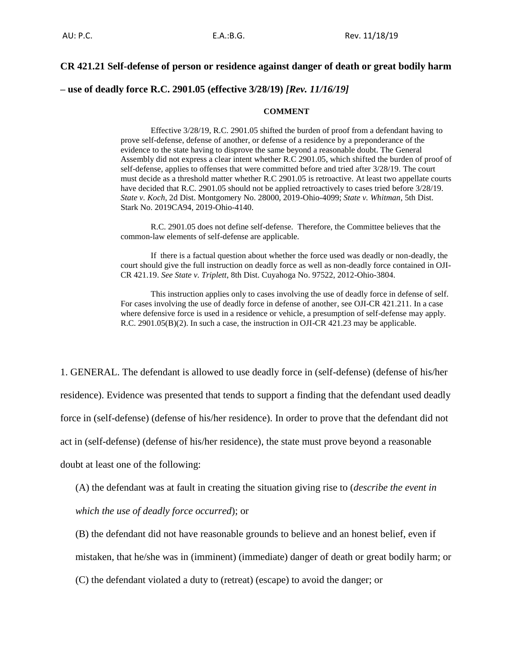## **CR 421.21 Self-defense of person or residence against danger of death or great bodily harm**

**– use of deadly force R.C. 2901.05 (effective 3/28/19)** *[Rev. 11/16/19]*

#### **COMMENT**

Effective 3/28/19, R.C. 2901.05 shifted the burden of proof from a defendant having to prove self-defense, defense of another, or defense of a residence by a preponderance of the evidence to the state having to disprove the same beyond a reasonable doubt. The General Assembly did not express a clear intent whether R.C 2901.05, which shifted the burden of proof of self-defense, applies to offenses that were committed before and tried after 3/28/19. The court must decide as a threshold matter whether R.C 2901.05 is retroactive. At least two appellate courts have decided that R.C. 2901.05 should not be applied retroactively to cases tried before 3/28/19. *State v. Koch*, 2d Dist. Montgomery No. 28000, 2019-Ohio-4099; *State v. Whitman*, 5th Dist. Stark No. 2019CA94, 2019-Ohio-4140.

R.C. 2901.05 does not define self-defense. Therefore, the Committee believes that the common-law elements of self-defense are applicable.

If there is a factual question about whether the force used was deadly or non-deadly, the court should give the full instruction on deadly force as well as non-deadly force contained in OJI-CR 421.19. *See State v. Triplett*, 8th Dist. Cuyahoga No. 97522, 2012-Ohio-3804.

This instruction applies only to cases involving the use of deadly force in defense of self. For cases involving the use of deadly force in defense of another, see OJI-CR 421.211. In a case where defensive force is used in a residence or vehicle, a presumption of self-defense may apply. R.C. 2901.05(B)(2). In such a case, the instruction in OJI-CR 421.23 may be applicable.

1. GENERAL. The defendant is allowed to use deadly force in (self-defense) (defense of his/her residence). Evidence was presented that tends to support a finding that the defendant used deadly force in (self-defense) (defense of his/her residence). In order to prove that the defendant did not act in (self-defense) (defense of his/her residence), the state must prove beyond a reasonable doubt at least one of the following:

(A) the defendant was at fault in creating the situation giving rise to (*describe the event in which the use of deadly force occurred*); or

(B) the defendant did not have reasonable grounds to believe and an honest belief, even if

mistaken, that he/she was in (imminent) (immediate) danger of death or great bodily harm; or

(C) the defendant violated a duty to (retreat) (escape) to avoid the danger; or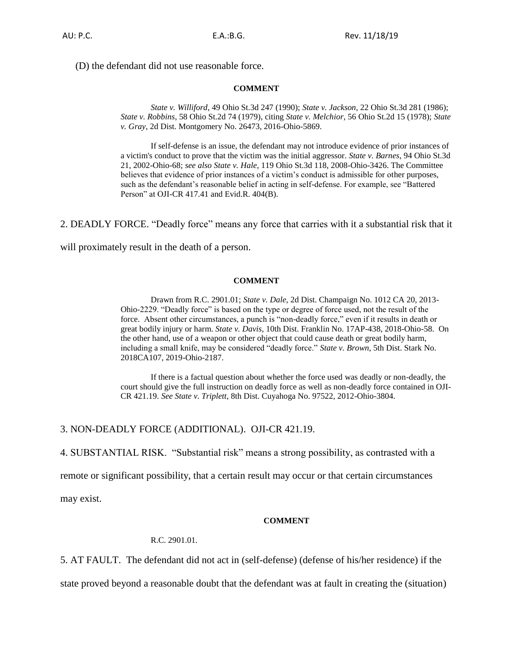(D) the defendant did not use reasonable force.

#### **COMMENT**

*State v. Williford*, 49 Ohio St.3d 247 (1990); *State v. Jackson*, 22 Ohio St.3d 281 (1986); *State v. Robbins*, 58 Ohio St.2d 74 (1979), citing *State v. Melchior*, 56 Ohio St.2d 15 (1978); *State v. Gray*, 2d Dist. Montgomery No. 26473, 2016-Ohio-5869.

If self-defense is an issue, the defendant may not introduce evidence of prior instances of a victim's conduct to prove that the victim was the initial aggressor. *State v. Barnes*, 94 Ohio St.3d 21, 2002-Ohio-68; *see also State v. Hale*, 119 Ohio St.3d 118, 2008-Ohio-3426. The Committee believes that evidence of prior instances of a victim's conduct is admissible for other purposes, such as the defendant's reasonable belief in acting in self-defense. For example, see "Battered Person" at OJI-CR 417.41 and Evid.R. 404(B).

2. DEADLY FORCE. "Deadly force" means any force that carries with it a substantial risk that it

will proximately result in the death of a person.

## **COMMENT**

Drawn from R.C. 2901.01; *State v. Dale,* 2d Dist. Champaign No. 1012 CA 20, 2013- Ohio-2229. "Deadly force" is based on the type or degree of force used, not the result of the force. Absent other circumstances, a punch is "non-deadly force," even if it results in death or great bodily injury or harm. *State v. Davis*, 10th Dist. Franklin No. 17AP-438, 2018-Ohio-58. On the other hand, use of a weapon or other object that could cause death or great bodily harm, including a small knife, may be considered "deadly force." *State v. Brown*, 5th Dist. Stark No. 2018CA107, 2019-Ohio-2187.

If there is a factual question about whether the force used was deadly or non-deadly, the court should give the full instruction on deadly force as well as non-deadly force contained in OJI-CR 421.19. *See State v. Triplett*, 8th Dist. Cuyahoga No. 97522, 2012-Ohio-3804.

## 3. NON-DEADLY FORCE (ADDITIONAL). OJI-CR 421.19.

4. SUBSTANTIAL RISK. "Substantial risk" means a strong possibility, as contrasted with a

remote or significant possibility, that a certain result may occur or that certain circumstances

may exist.

## **COMMENT**

R.C. 2901.01.

5. AT FAULT. The defendant did not act in (self-defense) (defense of his/her residence) if the

state proved beyond a reasonable doubt that the defendant was at fault in creating the (situation)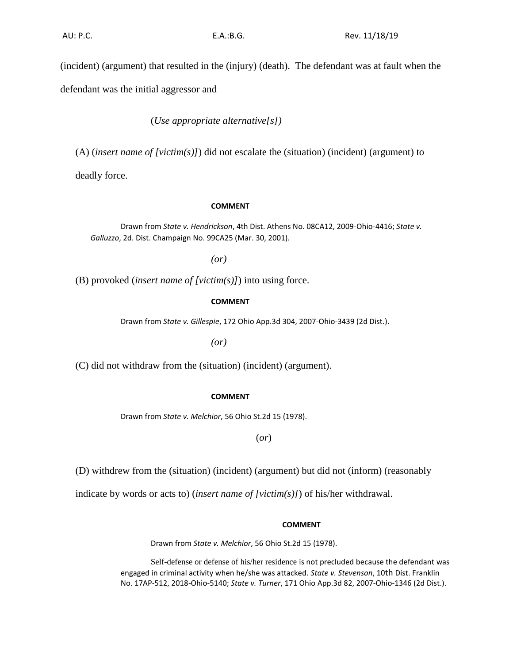(incident) (argument) that resulted in the (injury) (death). The defendant was at fault when the

defendant was the initial aggressor and

(*Use appropriate alternative[s])*

(A) (*insert name of [victim(s)]*) did not escalate the (situation) (incident) (argument) to

deadly force.

## **COMMENT**

Drawn from *State v. Hendrickson*, 4th Dist. Athens No. 08CA12, 2009-Ohio-4416; *State v. Galluzzo*, 2d. Dist. Champaign No. 99CA25 (Mar. 30, 2001).

*(or)*

(B) provoked (*insert name of [victim(s)]*) into using force.

## **COMMENT**

Drawn from *State v. Gillespie*, 172 Ohio App.3d 304, 2007-Ohio-3439 (2d Dist.).

*(or)*

(C) did not withdraw from the (situation) (incident) (argument).

## **COMMENT**

Drawn from *State v. Melchior*, 56 Ohio St.2d 15 (1978).

(*or*)

(D) withdrew from the (situation) (incident) (argument) but did not (inform) (reasonably

indicate by words or acts to) (*insert name of [victim(s)]*) of his/her withdrawal.

#### **COMMENT**

Drawn from *State v. Melchior*, 56 Ohio St.2d 15 (1978).

Self-defense or defense of his/her residence is not precluded because the defendant was engaged in criminal activity when he/she was attacked. *State v. Stevenson*, 10th Dist. Franklin No. 17AP-512, 2018-Ohio-5140; *State v. Turner*, 171 Ohio App.3d 82, 2007-Ohio-1346 (2d Dist.).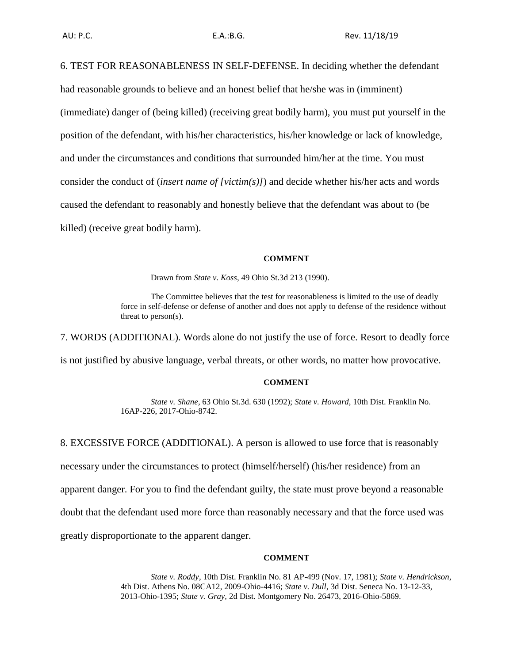6. TEST FOR REASONABLENESS IN SELF-DEFENSE. In deciding whether the defendant had reasonable grounds to believe and an honest belief that he/she was in (imminent) (immediate) danger of (being killed) (receiving great bodily harm), you must put yourself in the position of the defendant, with his/her characteristics, his/her knowledge or lack of knowledge, and under the circumstances and conditions that surrounded him/her at the time. You must consider the conduct of (*insert name of [victim(s)]*) and decide whether his/her acts and words caused the defendant to reasonably and honestly believe that the defendant was about to (be killed) (receive great bodily harm).

#### **COMMENT**

Drawn from *State v. Koss*, 49 Ohio St.3d 213 (1990).

The Committee believes that the test for reasonableness is limited to the use of deadly force in self-defense or defense of another and does not apply to defense of the residence without threat to person(s).

7. WORDS (ADDITIONAL). Words alone do not justify the use of force. Resort to deadly force

is not justified by abusive language, verbal threats, or other words, no matter how provocative.

#### **COMMENT**

*State v. Shane*, 63 Ohio St.3d. 630 (1992); *State v. Howard*, 10th Dist. Franklin No. 16AP-226, 2017-Ohio-8742.

8. EXCESSIVE FORCE (ADDITIONAL). A person is allowed to use force that is reasonably

necessary under the circumstances to protect (himself/herself) (his/her residence) from an

apparent danger. For you to find the defendant guilty, the state must prove beyond a reasonable

doubt that the defendant used more force than reasonably necessary and that the force used was

greatly disproportionate to the apparent danger.

## **COMMENT**

*State v. Roddy*, 10th Dist. Franklin No. 81 AP-499 (Nov. 17, 1981); *State v. Hendrickson*, 4th Dist. Athens No. 08CA12, 2009-Ohio-4416; *State v. Dull*, 3d Dist. Seneca No. 13-12-33, 2013-Ohio-1395; *State v. Gray,* 2d Dist. Montgomery No. 26473, 2016-Ohio-5869.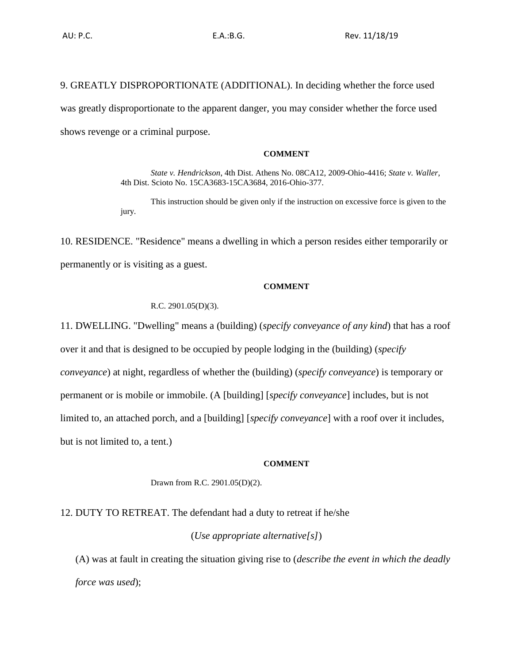9. GREATLY DISPROPORTIONATE (ADDITIONAL). In deciding whether the force used was greatly disproportionate to the apparent danger, you may consider whether the force used shows revenge or a criminal purpose.

#### **COMMENT**

*State v. Hendrickson*, 4th Dist. Athens No. 08CA12, 2009-Ohio-4416; *State v. Waller*, 4th Dist. Scioto No. 15CA3683-15CA3684, 2016-Ohio-377.

This instruction should be given only if the instruction on excessive force is given to the jury.

10. RESIDENCE. "Residence" means a dwelling in which a person resides either temporarily or permanently or is visiting as a guest.

## **COMMENT**

R.C. 2901.05(D)(3).

11. DWELLING. "Dwelling" means a (building) (*specify conveyance of any kind*) that has a roof over it and that is designed to be occupied by people lodging in the (building) (*specify conveyance*) at night, regardless of whether the (building) (*specify conveyance*) is temporary or permanent or is mobile or immobile. (A [building] [*specify conveyance*] includes, but is not limited to, an attached porch, and a [building] [*specify conveyance*] with a roof over it includes, but is not limited to, a tent.)

## **COMMENT**

Drawn from R.C. 2901.05(D)(2).

12. DUTY TO RETREAT. The defendant had a duty to retreat if he/she

(*Use appropriate alternative[s]*)

(A) was at fault in creating the situation giving rise to (*describe the event in which the deadly force was used*);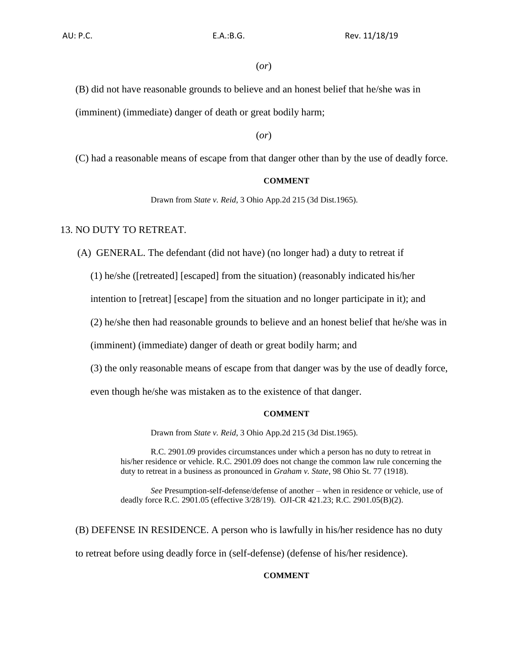## (*or*)

(B) did not have reasonable grounds to believe and an honest belief that he/she was in (imminent) (immediate) danger of death or great bodily harm;

## (*or*)

(C) had a reasonable means of escape from that danger other than by the use of deadly force.

# **COMMENT**

Drawn from *State v. Reid*, 3 Ohio App.2d 215 (3d Dist.1965).

## 13. NO DUTY TO RETREAT.

(A) GENERAL. The defendant (did not have) (no longer had) a duty to retreat if

(1) he/she ([retreated] [escaped] from the situation) (reasonably indicated his/her

intention to [retreat] [escape] from the situation and no longer participate in it); and

(2) he/she then had reasonable grounds to believe and an honest belief that he/she was in

(imminent) (immediate) danger of death or great bodily harm; and

(3) the only reasonable means of escape from that danger was by the use of deadly force,

even though he/she was mistaken as to the existence of that danger.

#### **COMMENT**

Drawn from *State v. Reid*, 3 Ohio App.2d 215 (3d Dist.1965).

R.C. 2901.09 provides circumstances under which a person has no duty to retreat in his/her residence or vehicle. R.C. 2901.09 does not change the common law rule concerning the duty to retreat in a business as pronounced in *Graham v. State*, 98 Ohio St. 77 (1918).

*See* Presumption-self-defense/defense of another – when in residence or vehicle, use of deadly force R.C. 2901.05 (effective 3/28/19). OJI-CR 421.23; R.C. 2901.05(B)(2).

(B) DEFENSE IN RESIDENCE. A person who is lawfully in his/her residence has no duty to retreat before using deadly force in (self-defense) (defense of his/her residence).

# **COMMENT**